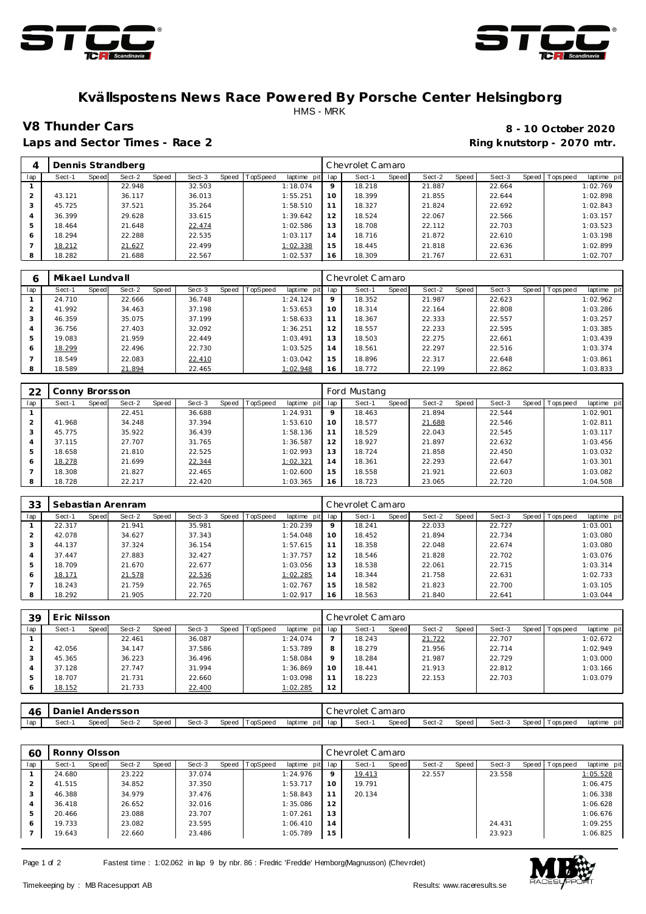



## **Kvällspostens News Race Powered By Porsche Center Helsingborg** HMS - MRK

Laps and Sector Times - Race 2 **Ring and Sector Times - Ring knutstorp** - 2070 mtr.

**V8 Thunder Cars 8 - 10 October 2020**

| $\overline{4}$ |        |       | Dennis Strandberg |       |        |                |             |     | Chevrolet Camaro |              |        |       |        |       |            |             |
|----------------|--------|-------|-------------------|-------|--------|----------------|-------------|-----|------------------|--------------|--------|-------|--------|-------|------------|-------------|
| lap            | Sect-1 | Speed | Sect-2            | Speed | Sect-3 | Speed TopSpeed | laptime pit | lap | Sect-1           | <b>Speed</b> | Sect-2 | Speed | Sect-3 | Speed | T ops peed | laptime pit |
|                |        |       | 22.948            |       | 32.503 |                | 1:18.074    | 9   | 18.218           |              | 21.887 |       | 22.664 |       |            | 1:02.769    |
|                | 43.121 |       | 36.117            |       | 36.013 |                | 1:55.251    | 10  | 18.399           |              | 21.855 |       | 22.644 |       |            | 1:02.898    |
|                | 45.725 |       | 37.521            |       | 35.264 |                | 1:58.510    | 11  | 18.327           |              | 21.824 |       | 22.692 |       |            | 1:02.843    |
| 4              | 36.399 |       | 29.628            |       | 33.615 |                | 1:39.642    | 12  | 18.524           |              | 22.067 |       | 22.566 |       |            | 1:03.157    |
| 5              | 18.464 |       | 21.648            |       | 22.474 |                | 1:02.586    | 13  | 18.708           |              | 22.112 |       | 22.703 |       |            | 1:03.523    |
| 6              | 18.294 |       | 22.288            |       | 22.535 |                | 1:03.117    | 14  | 18.716           |              | 21.872 |       | 22.610 |       |            | 1:03.198    |
|                | 18.212 |       | 21.627            |       | 22.499 |                | 1:02.338    | 15  | 18.445           |              | 21.818 |       | 22.636 |       |            | 1:02.899    |
| 8              | 18.282 |       | 21.688            |       | 22.567 |                | 1:02.537    | 16  | 18.309           |              | 21.767 |       | 22.631 |       |            | 1:02.707    |

| 6   | Mikael Lundvall |       |        |       |        |       |          |                 |         | Chevrolet Camaro |       |        |       |        |                   |             |
|-----|-----------------|-------|--------|-------|--------|-------|----------|-----------------|---------|------------------|-------|--------|-------|--------|-------------------|-------------|
| lap | Sect-1          | Speed | Sect-2 | Speed | Sect-3 | Speed | TopSpeed | laptime pit lap |         | Sect-1           | Speed | Sect-2 | Speed | Sect-3 | Speed   Tops peed | laptime pit |
|     | 24.710          |       | 22.666 |       | 36.748 |       |          | 1:24.124        | $\circ$ | 18.352           |       | 21.987 |       | 22.623 |                   | 1:02.962    |
|     | 41.992          |       | 34.463 |       | 37.198 |       |          | 1:53.653        | 10      | 18.314           |       | 22.164 |       | 22.808 |                   | 1:03.286    |
|     | 46.359          |       | 35.075 |       | 37.199 |       |          | 1:58.633        | 11      | 18.367           |       | 22.333 |       | 22.557 |                   | 1:03.257    |
|     | 36.756          |       | 27.403 |       | 32.092 |       |          | 1:36.251        | 12      | 18.557           |       | 22.233 |       | 22.595 |                   | 1:03.385    |
|     | 19.083          |       | 21.959 |       | 22.449 |       |          | 1:03.491        | 13      | 18.503           |       | 22.275 |       | 22.661 |                   | 1:03.439    |
| 6   | 18.299          |       | 22.496 |       | 22.730 |       |          | 1:03.525        | 14      | 18.561           |       | 22.297 |       | 22.516 |                   | 1:03.374    |
|     | 18.549          |       | 22.083 |       | 22.410 |       |          | 1:03.042        | 15      | 18.896           |       | 22.317 |       | 22.648 |                   | 1:03.861    |
| 8   | 18.589          |       | 21.894 |       | 22.465 |       |          | 1:02.948        | 16      | 18.772           |       | 22.199 |       | 22.862 |                   | 1:03.833    |

| 22  | Conny Brorsson |       |        |       |        |                  |             |     | Ford Mustang |       |        |       |        |       |           |             |
|-----|----------------|-------|--------|-------|--------|------------------|-------------|-----|--------------|-------|--------|-------|--------|-------|-----------|-------------|
| lap | Sect-1         | Speed | Sect-2 | Speed | Sect-3 | Speed   TopSpeed | laptime pit | lap | Sect-1       | Speed | Sect-2 | Speed | Sect-3 | Speed | Tops peed | laptime pit |
|     |                |       | 22.451 |       | 36.688 |                  | 1:24.931    | 9   | 18.463       |       | 21.894 |       | 22.544 |       |           | 1:02.901    |
|     | 41.968         |       | 34.248 |       | 37.394 |                  | 1:53.610    | 10  | 18.577       |       | 21.688 |       | 22.546 |       |           | 1:02.811    |
| 3   | 45.775         |       | 35.922 |       | 36.439 |                  | 1:58.136    |     | 18.529       |       | 22.043 |       | 22.545 |       |           | 1:03.117    |
| 4   | 37.115         |       | 27.707 |       | 31.765 |                  | 1:36.587    | 12  | 18.927       |       | 21.897 |       | 22.632 |       |           | 1:03.456    |
| 5   | 18.658         |       | 21.810 |       | 22.525 |                  | 1:02.993    | 13  | 18.724       |       | 21.858 |       | 22.450 |       |           | 1:03.032    |
| 6   | 18.278         |       | 21.699 |       | 22.344 |                  | 1:02.321    | 14  | 18.361       |       | 22.293 |       | 22.647 |       |           | 1:03.301    |
|     | 18.308         |       | 21.827 |       | 22.465 |                  | 1:02.600    | 15  | 18.558       |       | 21.921 |       | 22.603 |       |           | 1:03.082    |
| 8   | 18.728         |       | 22.217 |       | 22.420 |                  | 1:03.365    | 16  | 18.723       |       | 23.065 |       | 22.720 |       |           | 1:04.508    |

| 33  |        |       | Sebastian Arenram |       |        |                  |             |         | Chevrolet Camaro |       |        |       |        |       |            |             |
|-----|--------|-------|-------------------|-------|--------|------------------|-------------|---------|------------------|-------|--------|-------|--------|-------|------------|-------------|
| lap | Sect-1 | Speed | Sect-2            | Speed | Sect-3 | Speed   TopSpeed | laptime pit | lap     | Sect-1           | Speed | Sect-2 | Speed | Sect-3 | Speed | T ops peed | laptime pit |
|     | 22.317 |       | 21.941            |       | 35.981 |                  | 1:20.239    | $\circ$ | 18.241           |       | 22.033 |       | 22.727 |       |            | 1:03.001    |
|     | 42.078 |       | 34.627            |       | 37.343 |                  | 1:54.048    | 10      | 18.452           |       | 21.894 |       | 22.734 |       |            | 1:03.080    |
| 3   | 44.137 |       | 37.324            |       | 36.154 |                  | 1:57.615    | 11      | 18.358           |       | 22.048 |       | 22.674 |       |            | 1:03.080    |
| 4   | 37.447 |       | 27.883            |       | 32.427 |                  | 1:37.757    | 12      | 18.546           |       | 21.828 |       | 22.702 |       |            | 1:03.076    |
| 5   | 18.709 |       | 21.670            |       | 22.677 |                  | 1:03.056    | 13      | 18.538           |       | 22.061 |       | 22.715 |       |            | 1:03.314    |
| 6   | 18.171 |       | 21.578            |       | 22.536 |                  | 1:02.285    | 14      | 18.344           |       | 21.758 |       | 22.631 |       |            | 1:02.733    |
|     | 18.243 |       | 21.759            |       | 22.765 |                  | 1:02.767    | 15      | 18.582           |       | 21.823 |       | 22.700 |       |            | 1:03.105    |
| 8   | 18.292 |       | 21.905            |       | 22.720 |                  | 1:02.917    | 16      | 18.563           |       | 21.840 |       | 22.641 |       |            | 1:03.044    |

| 39  | Eric Nilsson |       |        |       |        |       |          |                 |         | Chevrolet Camaro |              |        |       |        |                |             |
|-----|--------------|-------|--------|-------|--------|-------|----------|-----------------|---------|------------------|--------------|--------|-------|--------|----------------|-------------|
| lap | Sect-1       | Speed | Sect-2 | Speed | Sect-3 | Speed | TopSpeed | laptime pit lap |         | Sect-1           | <b>Speed</b> | Sect-2 | Speed | Sect-3 | Speed Topspeed | laptime pit |
|     |              |       | 22.461 |       | 36.087 |       |          | 1:24.074        |         | 18.243           |              | 21.722 |       | 22.707 |                | 1:02.672    |
|     | 42.056       |       | 34.147 |       | 37.586 |       |          | 1:53.789        | 8       | 18.279           |              | 21.956 |       | 22.714 |                | 1:02.949    |
|     | 45.365       |       | 36.223 |       | 36.496 |       |          | 1:58.084        | $\circ$ | 18.284           |              | 21.987 |       | 22.729 |                | 1:03.000    |
|     | 37.128       |       | 27.747 |       | 31.994 |       |          | 1:36.869        | 10      | 18.441           |              | 21.913 |       | 22.812 |                | 1:03.166    |
| ь   | 18.707       |       | 21.731 |       | 22.660 |       |          | 1:03.098        |         | 18.223           |              | 22.153 |       | 22.703 |                | 1:03.079    |
| 6   | 18.152       |       | 21.733 |       | 22.400 |       |          | 1:02.285        | 12      |                  |              |        |       |        |                |             |

| 4C  |        | Andersson |        |       |        |       |                 |                |     | hevrolet: | `amaro |        |       |        |       |         |                 |
|-----|--------|-----------|--------|-------|--------|-------|-----------------|----------------|-----|-----------|--------|--------|-------|--------|-------|---------|-----------------|
| lap | Sect-1 | Speed     | Sect-2 | Speed | Sect-3 | Speed | <b>TopSpeed</b> | laptime<br>pit | lar | Sect-     | Speed  | Sect-2 | Speed | Sect-3 | Speed | opspeed | pitl<br>laptime |

| 60             | Ronny Olsson |       |        |       |        |       |          |             |         | Chevrolet Camaro |       |        |       |        |                   |             |
|----------------|--------------|-------|--------|-------|--------|-------|----------|-------------|---------|------------------|-------|--------|-------|--------|-------------------|-------------|
| lap            | Sect-1       | Speed | Sect-2 | Speed | Sect-3 | Speed | TopSpeed | laptime pit | lap     | Sect-1           | Speed | Sect-2 | Speed | Sect-3 | Speed   Tops peed | laptime pit |
|                | 24.680       |       | 23.222 |       | 37.074 |       |          | 1:24.976    | $\circ$ | 19.413           |       | 22.557 |       | 23.558 |                   | 1:05.528    |
| 2              | 41.515       |       | 34.852 |       | 37.350 |       |          | 1:53.717    | 10      | 19.791           |       |        |       |        |                   | 1:06.475    |
| 3              | 46.388       |       | 34.979 |       | 37.476 |       |          | 1:58.843    | 11      | 20.134           |       |        |       |        |                   | 1:06.338    |
| $\overline{4}$ | 36.418       |       | 26.652 |       | 32.016 |       |          | 1:35.086    | 12      |                  |       |        |       |        |                   | 1:06.628    |
| 5              | 20.466       |       | 23.088 |       | 23.707 |       |          | 1:07.261    | 13      |                  |       |        |       |        |                   | 1:06.676    |
| 6              | 19.733       |       | 23.082 |       | 23.595 |       |          | 1:06.410    | 14      |                  |       |        |       | 24.431 |                   | 1:09.255    |
|                | 19.643       |       | 22.660 |       | 23.486 |       |          | 1:05.789    | 15      |                  |       |        |       | 23.923 |                   | 1:06.825    |